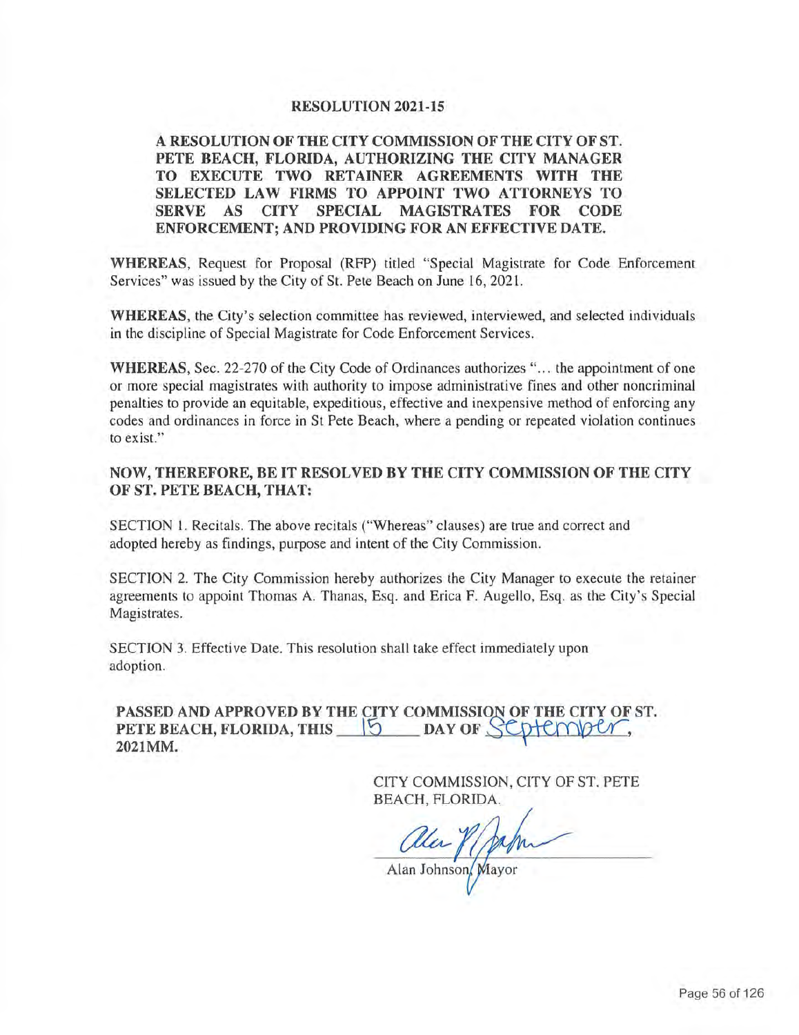### **RESOLUTION 2021-15**

## **A RESOLUTION OF THE CITY COMMISSION OF THE CITY OF ST. PETE BEACH, FLORIDA, AUTHORIZING THE CITY MANAGER TO EXECUTE TWO RETAINER AGREEMENTS WITH THE SELECTED LAW FIRMS TO APPOINT TWO ATTORNEYS TO SERVE AS CITY SPECIAL MAGISTRATES FOR CODE ENFORCEMENT; AND PROVIDING FOR AN EFFECTIVE DATE.**

**WHEREAS,** Request for Proposal (RFP) titled "Special Magistrate for Code Enforcement Services" was issued by the City of St. Pete Beach on June 16, 2021.

**WHEREAS,** the City's selection committee has reviewed, interviewed, and selected individuals in the discipline of Special Magistrate for Code Enforcement Services.

**WHEREAS, Sec. 22-270 of the City Code of Ordinances authorizes "... the appointment of one** or more special magistrates with authority to impose administrative fines and other noncriminal penalties to provide an equitable, expeditious, effective and inexpensive method of enforcing any codes and ordinances in force in St Pete Beach, where a pending or repeated violation continues to exist."

## **NOW, THEREFORE, BE IT RESOLVED BY THE CITY COMMISSION OF THE CITY OF ST. PETE BEACH, THAT:**

SECTION l. Recitals. The above recitals ("Whereas" clauses) are true and correct and adopted hereby as findings, purpose and intent of the City Commission.

SECTION 2. The City Commission hereby authorizes the City Manager to execute the retainer agreements to appoint Thomas A. Thanas, Esq. and Erica F. Augello, Esq. as the City's Special Magistrates.

SECTION 3. Effective Date. This resolution shall take effect immediately upon adoption.

**PASSED AND APPROVED BY THE CITY COMMISSION OF THE CITY OF ST.**<br>**PETE BEACH, FLORIDA, THIS** [5] DAY OF SCDIENVELORE **PETE BEACH, FLORIDA, THIS \Default & DAY OF SUPPLY DAY OF 5 2021MM.** 

> CITY COMMISSION, CITY OF ST. PETE BEACH, FLORIDA.

Clear / 104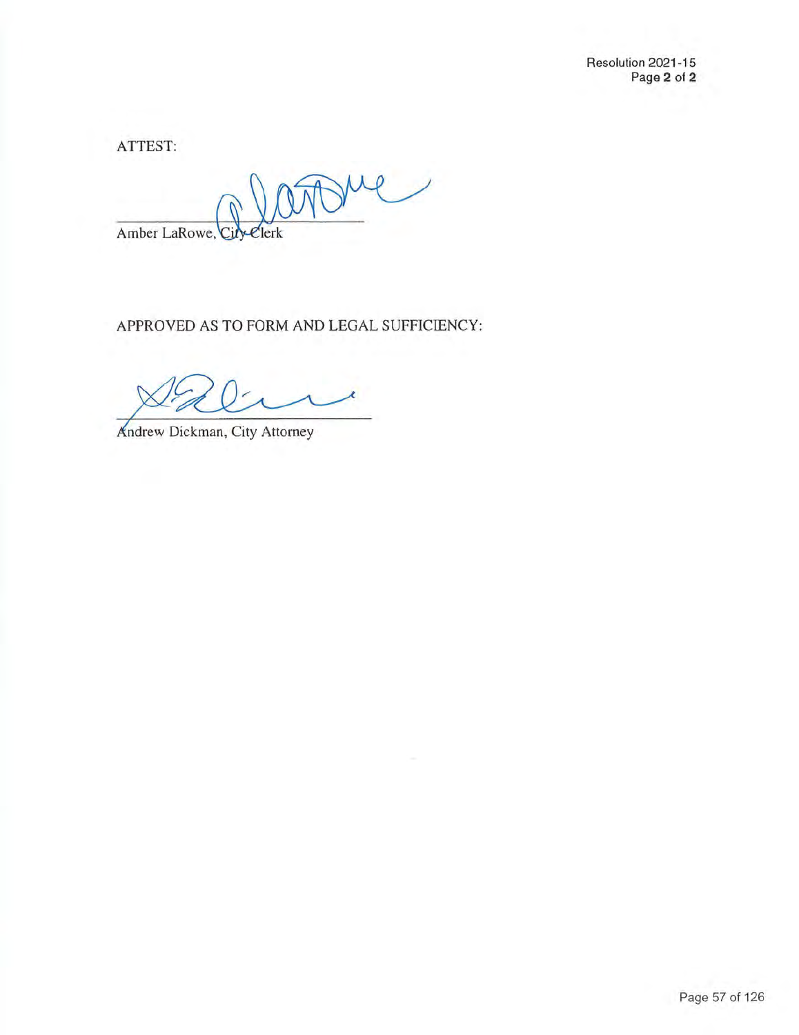Resolution 2021-15 Page **2** of **2** 

ATTEST:

me Amber LaRowe, lerk

APPROVED AS TO FORM AND LEGAL SUFFICIENCY:

Andrew Dickman, City Attorney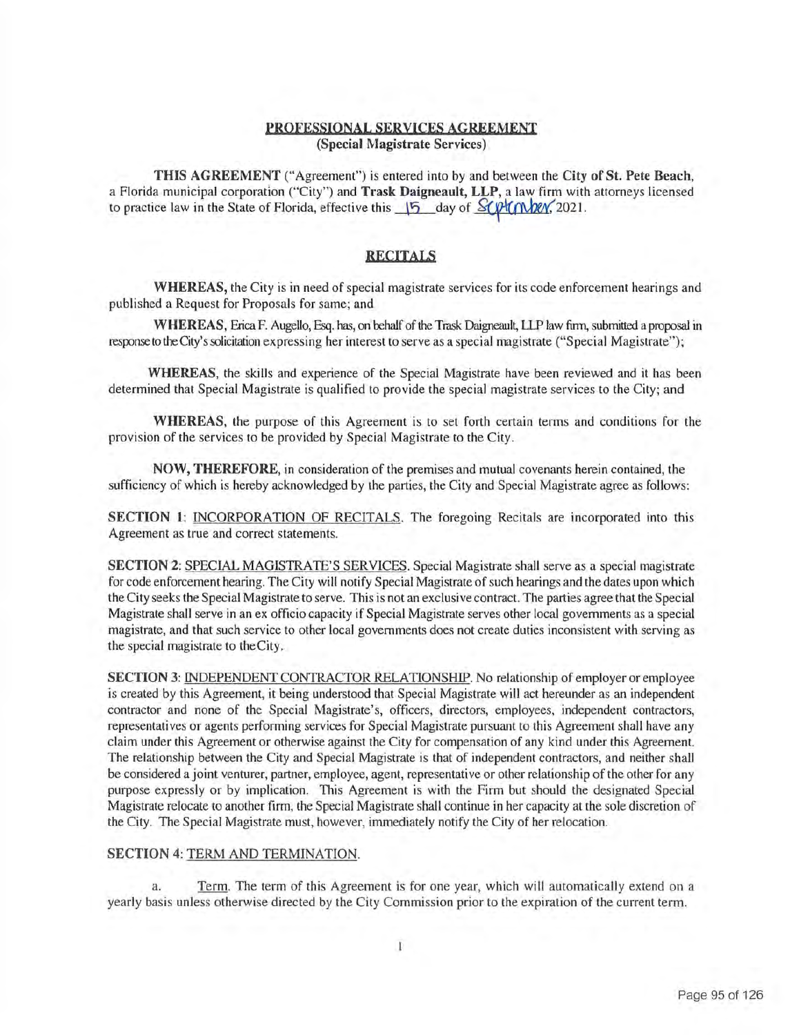#### **PROFESSIONAL SERVICES AGREEMENT (Special Magistrate Services)**

**THIS AGREEMENT** ("Agreement") is entered into by and between the **City of St. Pete Beach,**  a Florida municipal corporation ("City") and **Trask Daigneault, LLP,** a law firm with attorneys licensed to practice law in the State of Florida, effective this  $\frac{15}{15}$  day of  $\frac{8}{\sqrt{1}}$ ( $\frac{6}{\sqrt{1}}$ ( $\frac{1}{\sqrt{2}}$ (2021.

#### **RECITALS**

**WHEREAS,** the City is in need of special magistrate services for its code enforcement hearings and published a Request for Proposals for same; and

**WHEREAS,** Erica F. Augello, Esq. has, on rehalf of the Trask Daigneault, LLP law firm, submitted a proposal in response to the City's solicitation expressing her interest to serve as a special magistrate ("Special Magistrate");

**WHEREAS,** the skills and experience of the Special Magistrate have been reviewed and it has been determined that Special Magistrate is qualified to provide the special magistrate services to the City; and

**WHEREAS,** the purpose of this Agreement is to set forth certain terms and conditions for the provision of the services to be provided by Special Magistrate to the City.

**NOW, THEREFORE,** in consideration of the premises and mutual covenants herein contained, the sufficiency of which is hereby acknowledged by the parties, the City and Special Magistrate agree as follows:

**SECTION 1: INCORPORATION OF RECITALS. The foregoing Recitals are incorporated into this** Agreement as true and correct statements.

**SECTION 2:** SPECIAL MAGISTRATE'S SERVICES. Special Magistrate shall serve as a special magistrate for code enforcement hearing. The City will notify Special Magistrate of such hearings and the dates upon which the City seeks the Special Magistrate to serve. This is not an exclusive contract. The parties agree that the Special Magistrate shall serve in an ex officio capacity if Special Magistrate serves other local governments as a special magistrate, and that such service to other local governments does not create duties inconsistent with serving as the special magistrate to theCity.

**SECTION 3:** INDEPENDENT CONTRACTOR RELATIONSHIP. No relationship of employer or employee is created by this Agreement, it being understood that Special Magistrate will act hereunder as an independent contractor and none of the Special Magistrate's, officers, directors, employees, independent contractors, representatives or agents performing services for Special Magistrate pursuant to this Agreement shall have any claim under this Agreement or otherwise against the City for compensation of any kind under this Agreement. The relationship between the City and Special Magistrate is that of independent contractors, and neither shall be considered a joint venturer, partner, employee, agent, representative or other relationship of the other for any purpose expressly or by implication. This Agreement is with the Firm but should the designated Special Magistrate relocate to another firm, the Special Magistrate shall continue in her capacity at the sole discretion of the City. The Special Magistrate must, however, immediately notify the City of her relocation.

#### **SECTION 4: TERM AND TERMINATION.**

a. Term. The term of this Agreement is for one year, which will automatically extend on a yearly basis unless otherwise directed by the City Commission prior to the expiration of the current term.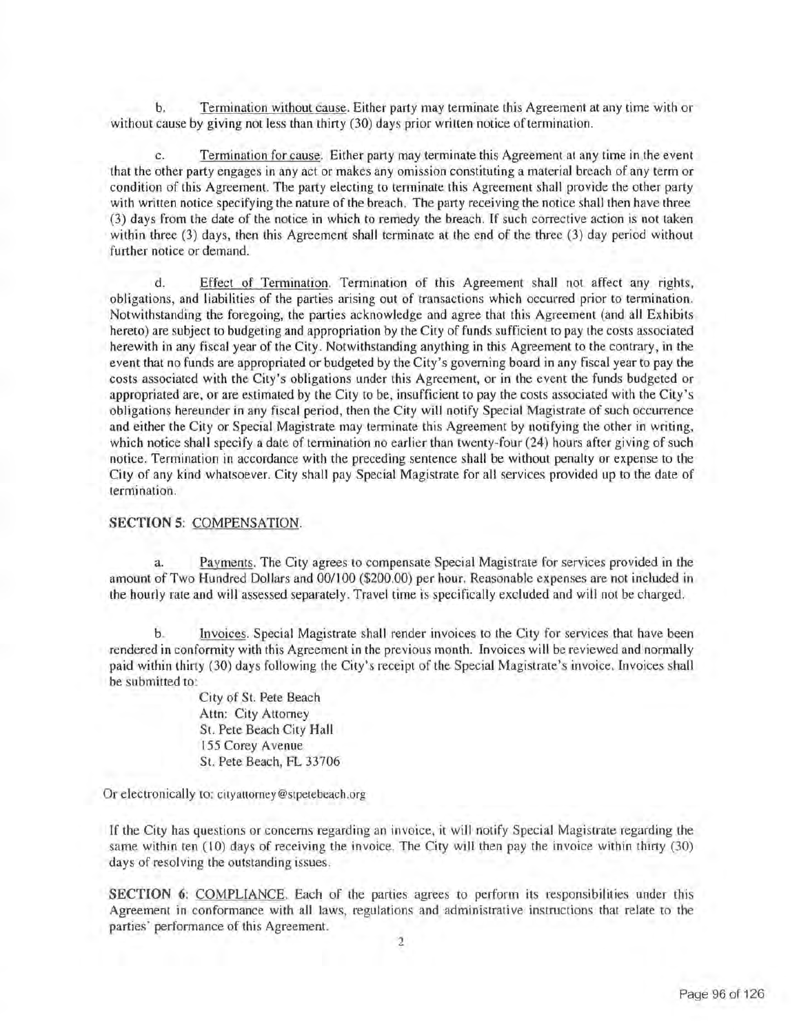b. Termination without cause. Either party may terminate this Agreement at any time with or without cause by giving not less than thirty (30) days prior written notice of termination.

c. Termination for cause. Either party may terminate this Agreement at any time in the event that the other party engages in any act or makes any omission constituting a material breach of any term or condition of this Agreement. The party electing to terminate this Agreement shall provide the other party with written notice specifying the nature of the breach. The party receiving the notice shall then have three (3) days from the date of the notice in which to remedy the breach. If such corrective action is not taken within three (3) days, then this Agreement shall terminate at the end of the three (3) day period without further notice or demand.

d. Effect of Termination. Termination of this Agreement shall not affect any rights, obligations, and liabilities of the parties arising out of transactions which occurred prior to termination. Notwithstanding the foregoing, the parties acknowledge and agree that this Agreement (and all Exhibits hereto) are subject to budgeting and appropriation by the City of funds sufficient to pay the costs associated herewith in any fiscal year of the City. Notwithstanding anything in this Agreement to the contrary, in the event that no funds are appropriated or budgeted by the City's governing board in any fiscal year to pay the costs associated with the City's obligations under this Agreement, or in the event the funds budgeted or appropriated are, or are estimated by the City to be, insufficient to pay the costs associated with the City's obligations hereunder in any fiscal period, then the City will notify Special Magistrate of such occurrence and either the City or Special Magistrate may terminate this Agreement by notifying the other in writing, which notice shall specify a date of termination no earlier than twenty-four (24) hours after giving of such notice. Termination in accordance with the preceding sentence shall be without penalty or expense to the City of any kind whatsoever. City shall pay Special Magistrate for all services provided up to the date of termination.

#### **SECTION 5:** COMPENSATION.

Payments. The City agrees to compensate Special Magistrate for services provided in the amount of Two Hundred Dollars and 00/100 (\$200.00) per hour. Reasonable expenses are not included in the hourly rate and will assessed separately. Travel time is specifically excluded and will not be charged.

b. Invoices. Special Magistrate shall render invoices to the City for services that have been rendered in conformity with this Agreement in the previous month. Invoices will be reviewed and normally paid within thirty (30) days following the City's receipt of the Special Magistrate's invoice. Invoices shall be submitted to:

> City of St. Pete Beach Attn: City Attorney St. Pete Beach City Hall 155 Corey Avenue St. Pete Beach, FL 33706

Or electronically to: cityattorney@stpetebeach.org

If the City has questions or concerns regarding an invoice, it will notify Special Magistrate regarding the same within ten  $(10)$  days of receiving the invoice. The City will then pay the invoice within thirty  $(30)$ days of resolving the outstanding issues.

**SECTION 6:** COMPLIANCE. Each of the parties agrees to perform its responsibilities under this Agreement in conformance with all laws, regulations and administrative instructions that relate to the parties' performance of this Agreement.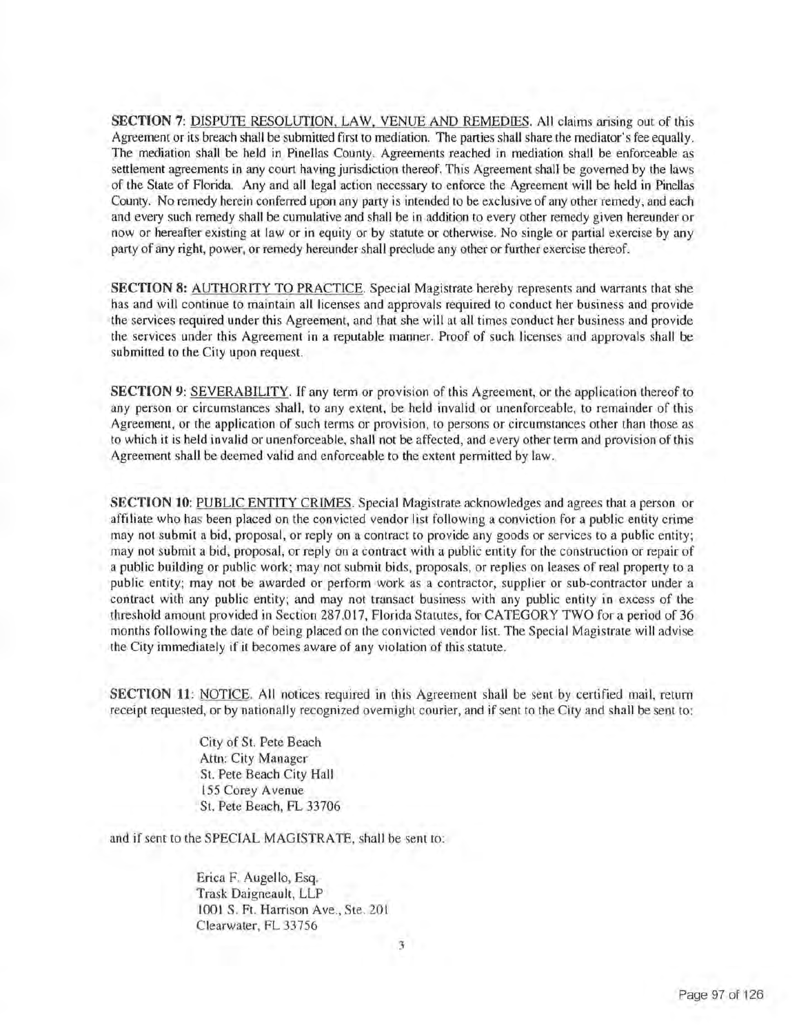**SECTION 7:** DISPUTE RESOLUTION, LAW, VENUE AND REMEDIES. All claims arising out of this Agreement or its breach shall be submitted first to mediation. The parties shall share the mediator's fee equally. The mediation shall be held in Pinellas County. Agreements reached in mediation shall be enforceable as settlement agreements in any court having jurisdiction thereof. This Agreement shall be governed by the laws of the State of Florida. Any and all legal action necessary to enforce the Agreement will be held in Pinellas County. No remedy herein conferred upon any party is intended to be exclusive of any other remedy, and each and every such remedy shall be cumulative and shall be in addition to every other remedy given hereunder or now or hereafter existing at law or in equity or by statute or otherwise. No single or partial exercise by any party of any right, power, or remedy hereunder shall preclude any other or further exercise thereof.

**SECTION 8:** AUTHORITY TO PRACTICE. Special Magistrate hereby represents and warrants that she has and will continue to maintain all licenses and approvals required to conduct her business and provide the services required under this Agreement, and that she will at all times conduct her business and provide the services under this Agreement in a reputable manner. Proof of such licenses and approvals shall be submitted to the City upon request.

**SECTION 9: SEVERABILITY.** If any term or provision of this Agreement, or the application thereof to any person or circumstances shall, to any extent, be held invalid or unenforceable, to remainder of this Agreement, or the application of such terms or provision, to persons or circumstances other than those as to which it is held invalid or unenforceable, shall not be affected, and every other term and provision of this Agreement shall be deemed valid and enforceable to the extent permitted by law.

**SECTION 10:** PUBLIC ENTITY CRIMES . Special Magistrate acknowledges and agrees that a person or affiliate who has been placed on the convicted vendor list following a conviction for a public entity crime may not submit a bid, proposal, or reply on a contract to provide any goods or services to a public entity; may not submit a bid, proposal, or reply on a contract with a public entity for the construction or repair of a public building or public work; may not submit bids, proposals, or replies on leases of real property to a public entity; may not be awarded or perform work as a contractor, supplier or sub-contractor under a contract with any public entity; and may not transact business with any public entity in excess of the threshold amount provided in Section 287.017, Florida Statutes, for CATEGORY TWO for a period of 36 months following the date of being placed on the convicted vendor list. The Special Magistrate will advise the City immediately if it becomes aware of any violation of this statute.

**SECTION 11:** NOTICE. All notices required in this Agreement shall be sent by certified mail, return receipt requested, or by nationally recognized overnight courier, and if sent to the City and shall be sent to:

> City of St. Pete Beach Attn: City Manager St. Pete Beach City Hall 155 Corey Avenue St. Pete Beach, FL 33706

and if sent to the SPECIAL MAGISTRATE, shall be sent to :

Erica F. Augello, Esq. Trask Daigneault, LLP 1001 S. Ft. Harrison Ave., Ste. 201 Clearwater, FL 33756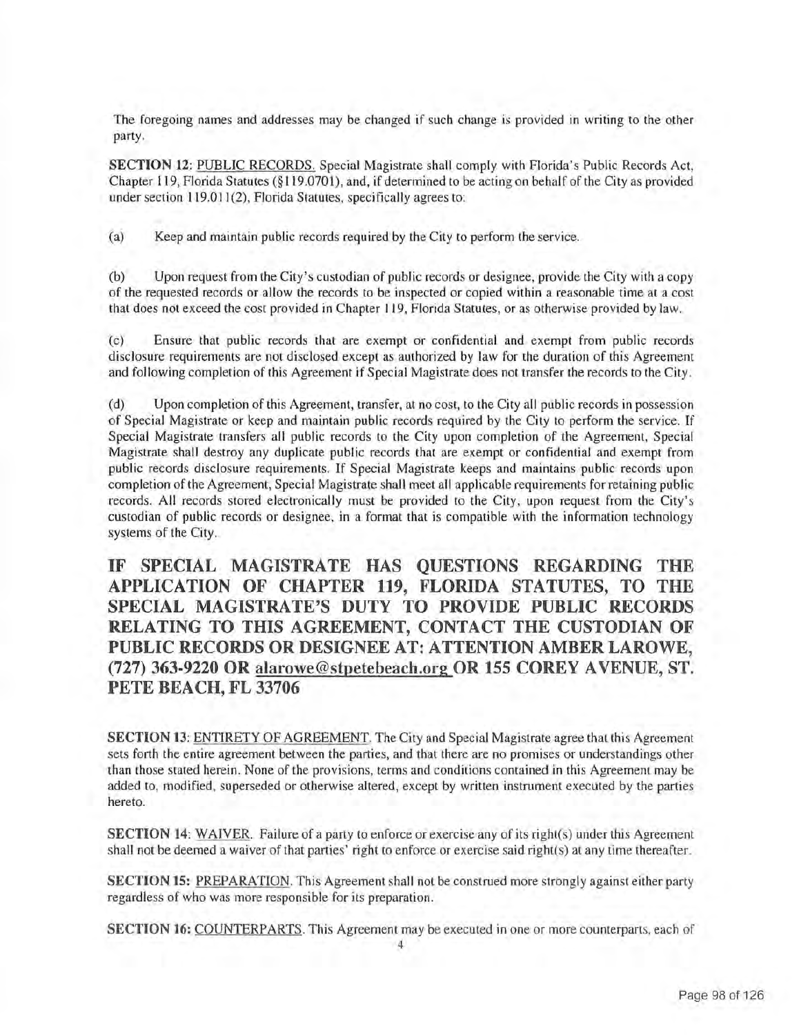The foregoing names and addresses may be changed if such change is provided in writing to the other party.

**SECTION 12:** PUBLIC RECORDS. Special Magistrate shall comply with Florida's Public Records Act, Chapter 119, Florida Statutes (§ 119.0701 ), and, if determined to be acting on behalf of the City as provided under section 119.011(2), Florida Statutes, specifically agrees to:

(a) Keep and maintain public records required by the City to perform the service.

(b) Upon request from the City's custodian of public records or designee, provide the City with a copy of the requested records or allow the records to be inspected or copied within a reasonable time at a cost that does not exceed the cost provided in Chapter 119, Florida Statutes, or as otherwise provided by law.

(c) Ensure that public records that are exempt or confidential and exempt from public records disclosure requirements are not disclosed except as authorized by law for the duration of this Agreement and following completion of this Agreement if Special Magistrate does not transfer the records to the City.

(d) Upon completion of this Agreement, transfer, at no cost, to the City all public records in possession of Special Magistrate or keep and maintain public records required by the City to perform the service. If Special Magistrate transfers all public records to the City upon completion of the Agreement, Special Magistrate shall destroy any duplicate public records that are exempt or confidential and exempt from public records disclosure requirements. If Special Magistrate keeps and maintains public records upon completion of the Agreement, Special Magistrate shall meet all applicable requirements for retaining public records. All records stored electronically must be provided to the City, upon request from the City's custodian of public records or designee, in a format that is compatible with the information technology systems of the City.

**IF SPECIAL MAGISTRATE HAS QUESTIONS REGARDING THE APPLICATION OF CHAPTER 119, FLORIDA STATUTES, TO THE SPECIAL MAGISTRATE'S DUTY TO PROVIDE PUBLIC RECORDS RELATING TO THIS AGREEMENT, CONTACT THE CUSTODIAN OF PUBLIC RECORDS OR DESIGNER AT: ATTENTION AMBER LAROWE, (727) 363-9220 OR [alarowe@stpetebeach.org](mailto:alarowe@stpetebeach.org) OR 155 COREY A VENUE, ST. PETE BEACH, FL 33706** 

**SECTION 13:** ENTIRETY OF AGREEMENT. The City and Special Magistrate agree that this Agreement sets forth the entire agreement between the parties, and that there are no promises or understandings other than those stated herein. None of the provisions, terms and conditions contained in this Agreement may be added to, modified, superseded or otherwise altered, except by written instrument executed by the parties hereto.

**SECTION 14:** WAIVER. Failure of a party to enforce or exercise any of its right(s) under this Agreement shall not be deemed a waiver of that parties' right to enforce or exercise said right(s) at any time thereafter.

**SECTION 15:** PREPARATION. This Agreement shall not be construed more strongly against either party regardless of who was more responsible for its preparation .

**SECTION 16:** COUNTERPARTS. This Agreement may be executed in one or more counterparts, each of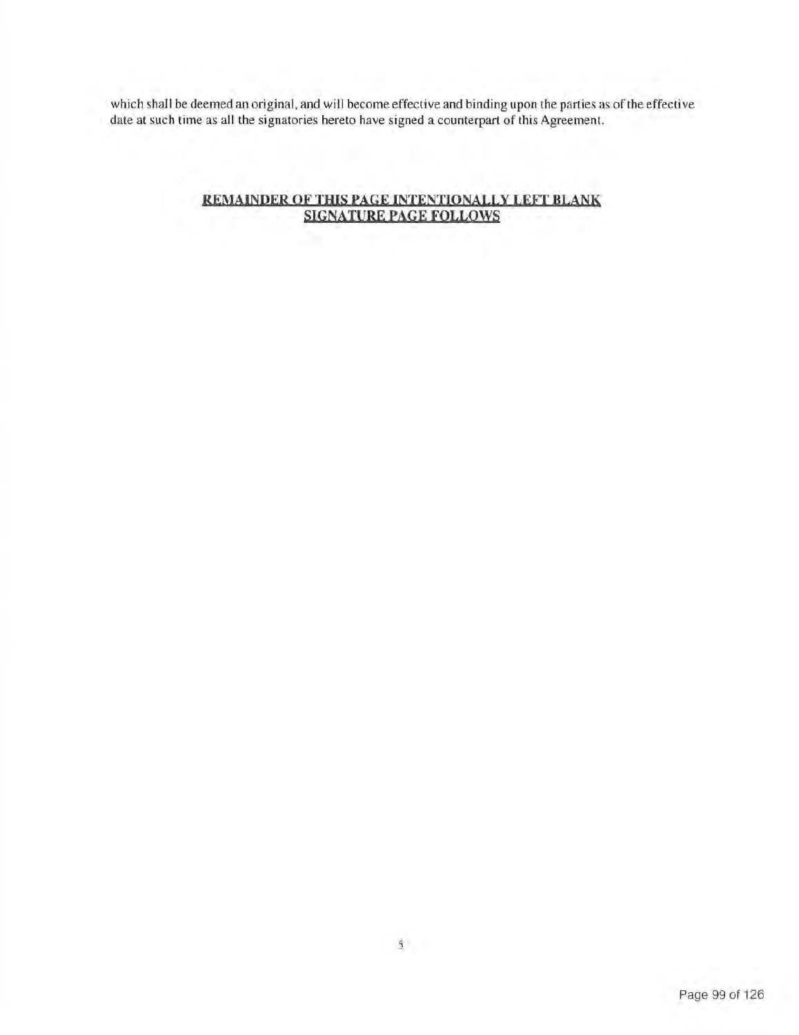which shall be deemed an original, and will become effective and binding upon the parties as of the effective date at such time as all the signatories hereto have signed a counterpart of this Agreement.

### **REMAINDER OF THIS PAGE INTENTIONALLY LEFT BLANK SIGNATURE PAGE FOLLOWS**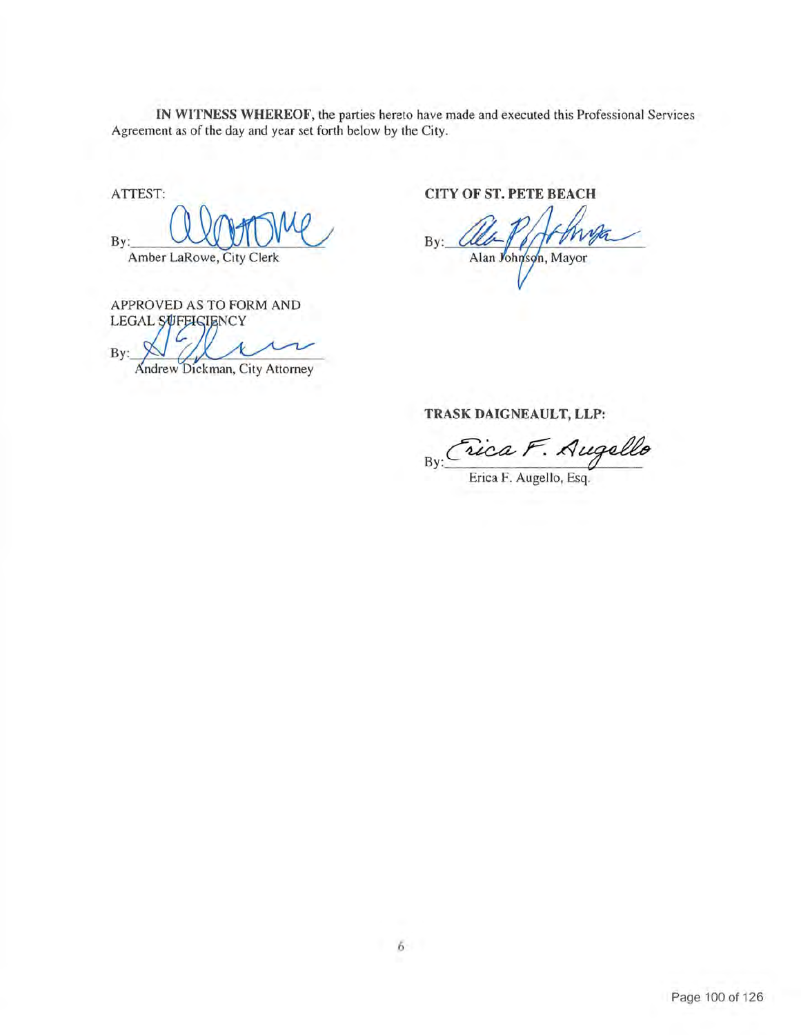**IN WITNESS WHEREOF,** the parties hereto have made and executed this Professional Services Agreement as of the day and year set forth below by the City.

By: Amber LaRowe, City Clerk Experience, the parties here are the mass and<br>t as of the day and year set forth below by the City.<br>CITY OF ST<br>LaRowe, City Clerk<br>Alan

APPROVED AS TO FORM AND LEGAL SUFFICIENCY<br>**By:** A **C** 

Andrew Dickman, City Attorney

ATTEST: **CITY OF ST. PETE BEACH** 

**TRASK DAIGNEAULT, LLP:** 

By: Crica F. Augello

Erica F. Augello, Esq.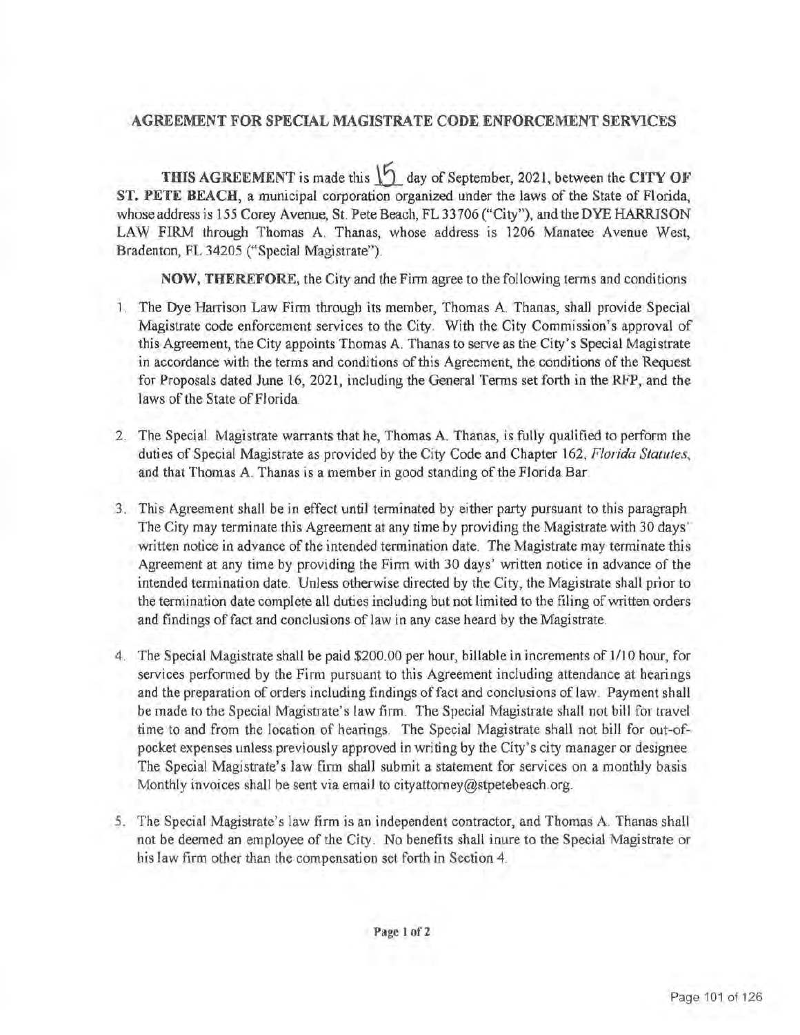# **AGREEMENT FOR SPECIAL MAGISTRATE CODE ENFORCEMENT SERVICES**

**THIS AGREEMENT** is made this  $\begin{bmatrix} 5 \\ 4 \end{bmatrix}$  day of September, 2021, between the **CITY OF ST. PETE BEACH,** a municipal corporation organized under the laws of the State of Florida, whose address is 155 Corey Avenue, St. Pete Beach, FL 33706 ("City"), and the DYE HARRISON LAW FIRM through Thomas A. Thanas, whose address is 1206 Manatee Avenue West, Bradenton, FL 34205 ("Special Magistrate").

**NOW, THEREFORE,** the City and the Firm agree to the following tenns and conditions.

- 1. The Dye Harrison Law Firm through its member, Thomas A. Thanas, shall provide Special Magistrate code enforcement services to the City . With the City Commission's approval of this Agreement, the City appoints Thomas A. Thanas to serve as the City's Special Magistrate in accordance with the terms and conditions of this Agreement, the conditions of the Request for Proposals dated June 16, 2021, including the General Tenns set forth in the RFP, and the laws of the State of Florida.
- 2. The Special Magistrate warrants that he, Thomas A. Thanas, is fully qualified to perform the duties of Special Magistrate as provided by the City Code and Chapter 162, *Florida Statutes,*  and that Thomas A. Thanas is a member in good standing of the Florida Bar.
- 3. This Agreement shall be in effect until terminated by either party pursuant to this paragraph The City may terminate this Agreement at any time by providing the Magistrate with 30 days' written notice in advance of the intended termination date. The Magistrate may terminate this Agreement at any time by providing the Finn with 30 days' written notice in advance of the intended termination date. Unless otherwise directed by the City, the Magistrate shall prior to the termination date complete all duties including but not limited to the filing of written orders and findings of fact and conclusions of law in any case heard by the Magistrate.
- 4. The Special Magistrate shall be paid \$200.00 per hour, billable in increments of 1/10 hour, for services performed by the Firm pursuant to this Agreement including attendance at hearings and the preparation of orders including findings of fact and conclusions of law. Payment shall be made to the Special Magistrate's law firm . The Special Magistrate shall not bill for travel time to and from the location of hearings. The Special Magistrate shall not bill for out-ofpocket expenses unless previously approved in writing by the City's city manager or designee. The Special Magistrate's law firm shall submit a statement for services on a monthly basis Monthly invoices shall be sent via email to [cityattomey@stpetebeach.org](mailto:cityattomey@stpetebeach.org).
- 5. The Special Magistrate's law firm is an independent contractor, and Thomas A. Thanas shall not be deemed an employee of the City. No benefits shall inure to the Special Magistrate or his law firm other than the compensation set forth in Section 4.